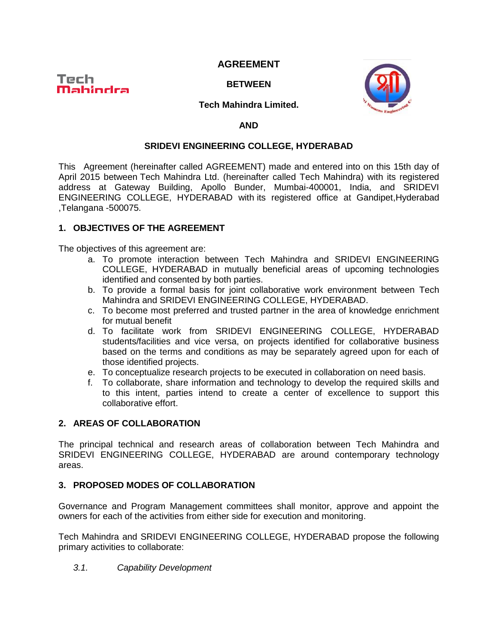# **AGREEMENT**



**BETWEEN**



## **Tech Mahindra Limited.**

### **AND**

### **SRIDEVI ENGINEERING COLLEGE, HYDERABAD**

This Agreement (hereinafter called AGREEMENT) made and entered into on this 15th day of April 2015 between Tech Mahindra Ltd. (hereinafter called Tech Mahindra) with its registered address at Gateway Building, Apollo Bunder, Mumbai-400001, India, and SRIDEVI ENGINEERING COLLEGE, HYDERABAD with its registered office at Gandipet,Hyderabad ,Telangana -500075.

# **1. OBJECTIVES OF THE AGREEMENT**

The objectives of this agreement are:

- a. To promote interaction between Tech Mahindra and SRIDEVI ENGINEERING COLLEGE, HYDERABAD in mutually beneficial areas of upcoming technologies identified and consented by both parties.
- b. To provide a formal basis for joint collaborative work environment between Tech Mahindra and SRIDEVI ENGINEERING COLLEGE, HYDERABAD.
- c. To become most preferred and trusted partner in the area of knowledge enrichment for mutual benefit
- d. To facilitate work from SRIDEVI ENGINEERING COLLEGE, HYDERABAD students/facilities and vice versa, on projects identified for collaborative business based on the terms and conditions as may be separately agreed upon for each of those identified projects.
- e. To conceptualize research projects to be executed in collaboration on need basis.
- f. To collaborate, share information and technology to develop the required skills and to this intent, parties intend to create a center of excellence to support this collaborative effort.

### **2. AREAS OF COLLABORATION**

The principal technical and research areas of collaboration between Tech Mahindra and SRIDEVI ENGINEERING COLLEGE, HYDERABAD are around contemporary technology areas.

### **3. PROPOSED MODES OF COLLABORATION**

Governance and Program Management committees shall monitor, approve and appoint the owners for each of the activities from either side for execution and monitoring.

Tech Mahindra and SRIDEVI ENGINEERING COLLEGE, HYDERABAD propose the following primary activities to collaborate:

*3.1. Capability Development*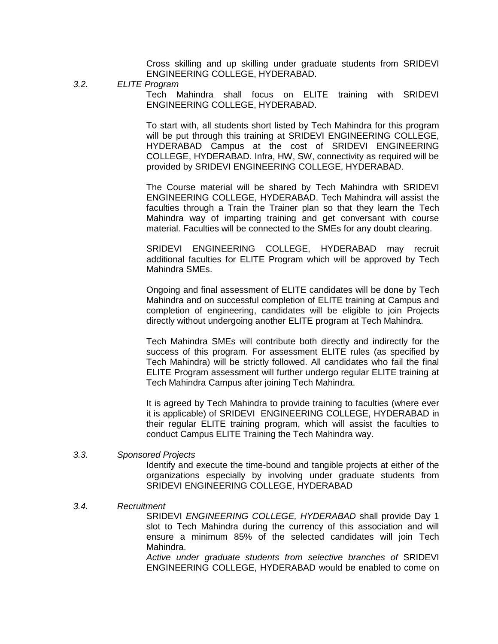Cross skilling and up skilling under graduate students from SRIDEVI ENGINEERING COLLEGE, HYDERABAD.

*3.2. ELITE Program*

Tech Mahindra shall focus on ELITE training with SRIDEVI ENGINEERING COLLEGE, HYDERABAD.

To start with, all students short listed by Tech Mahindra for this program will be put through this training at SRIDEVI ENGINEERING COLLEGE, HYDERABAD Campus at the cost of SRIDEVI ENGINEERING COLLEGE, HYDERABAD. Infra, HW, SW, connectivity as required will be provided by SRIDEVI ENGINEERING COLLEGE, HYDERABAD.

The Course material will be shared by Tech Mahindra with SRIDEVI ENGINEERING COLLEGE, HYDERABAD. Tech Mahindra will assist the faculties through a Train the Trainer plan so that they learn the Tech Mahindra way of imparting training and get conversant with course material. Faculties will be connected to the SMEs for any doubt clearing.

SRIDEVI ENGINEERING COLLEGE, HYDERABAD may recruit additional faculties for ELITE Program which will be approved by Tech Mahindra SMEs.

Ongoing and final assessment of ELITE candidates will be done by Tech Mahindra and on successful completion of ELITE training at Campus and completion of engineering, candidates will be eligible to join Projects directly without undergoing another ELITE program at Tech Mahindra.

Tech Mahindra SMEs will contribute both directly and indirectly for the success of this program. For assessment ELITE rules (as specified by Tech Mahindra) will be strictly followed. All candidates who fail the final ELITE Program assessment will further undergo regular ELITE training at Tech Mahindra Campus after joining Tech Mahindra.

It is agreed by Tech Mahindra to provide training to faculties (where ever it is applicable) of SRIDEVI ENGINEERING COLLEGE, HYDERABAD in their regular ELITE training program, which will assist the faculties to conduct Campus ELITE Training the Tech Mahindra way.

*3.3. Sponsored Projects*

Identify and execute the time-bound and tangible projects at either of the organizations especially by involving under graduate students from SRIDEVI ENGINEERING COLLEGE, HYDERABAD

### *3.4. Recruitment*

SRIDEVI *ENGINEERING COLLEGE, HYDERABAD* shall provide Day 1 slot to Tech Mahindra during the currency of this association and will ensure a minimum 85% of the selected candidates will join Tech Mahindra.

*Active under graduate students from selective branches of* SRIDEVI ENGINEERING COLLEGE, HYDERABAD would be enabled to come on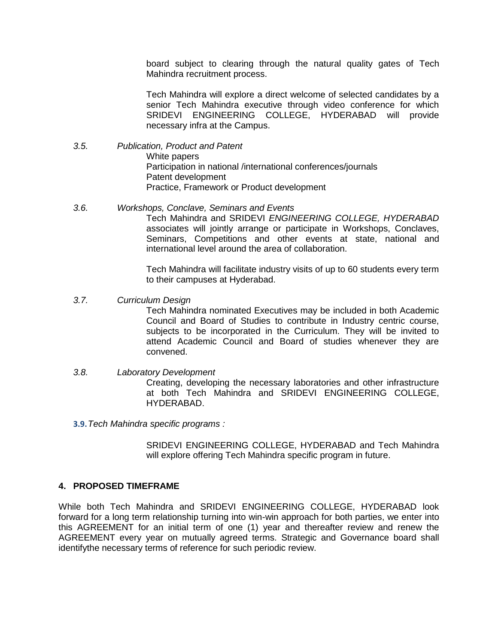board subject to clearing through the natural quality gates of Tech Mahindra recruitment process.

Tech Mahindra will explore a direct welcome of selected candidates by a senior Tech Mahindra executive through video conference for which SRIDEVI ENGINEERING COLLEGE, HYDERABAD will provide necessary infra at the Campus.

- *3.5. Publication, Product and Patent*  White papers Participation in national /international conferences/journals Patent development Practice, Framework or Product development
- *3.6. Workshops, Conclave, Seminars and Events*

Tech Mahindra and SRIDEVI *ENGINEERING COLLEGE, HYDERABAD* associates will jointly arrange or participate in Workshops, Conclaves, Seminars, Competitions and other events at state, national and international level around the area of collaboration.

Tech Mahindra will facilitate industry visits of up to 60 students every term to their campuses at Hyderabad.

*3.7. Curriculum Design*

Tech Mahindra nominated Executives may be included in both Academic Council and Board of Studies to contribute in Industry centric course, subjects to be incorporated in the Curriculum. They will be invited to attend Academic Council and Board of studies whenever they are convened.

- *3.8. Laboratory Development* Creating, developing the necessary laboratories and other infrastructure at both Tech Mahindra and SRIDEVI ENGINEERING COLLEGE, HYDERABAD.
- **3.9.***Tech Mahindra specific programs :*

SRIDEVI ENGINEERING COLLEGE, HYDERABAD and Tech Mahindra will explore offering Tech Mahindra specific program in future.

### **4. PROPOSED TIMEFRAME**

While both Tech Mahindra and SRIDEVI ENGINEERING COLLEGE, HYDERABAD look forward for a long term relationship turning into win-win approach for both parties, we enter into this AGREEMENT for an initial term of one (1) year and thereafter review and renew the AGREEMENT every year on mutually agreed terms. Strategic and Governance board shall identifythe necessary terms of reference for such periodic review.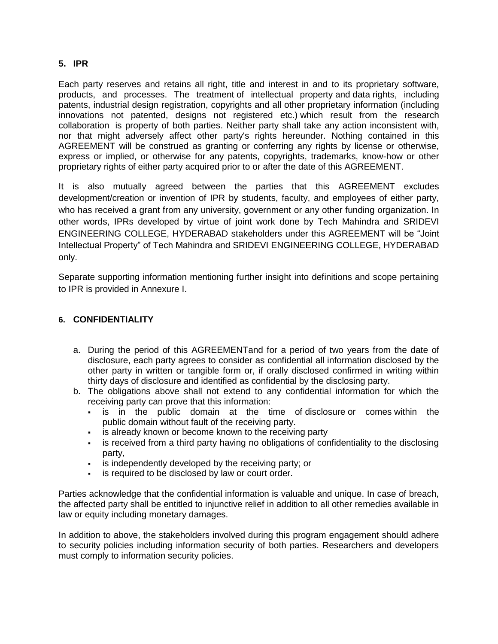# **5. IPR**

Each party reserves and retains all right, title and interest in and to its proprietary software, products, and processes. The treatment of intellectual property and data rights, including patents, industrial design registration, copyrights and all other proprietary information (including innovations not patented, designs not registered etc.) which result from the research collaboration is property of both parties. Neither party shall take any action inconsistent with, nor that might adversely affect other party's rights hereunder. Nothing contained in this AGREEMENT will be construed as granting or conferring any rights by license or otherwise, express or implied, or otherwise for any patents, copyrights, trademarks, know-how or other proprietary rights of either party acquired prior to or after the date of this AGREEMENT.

It is also mutually agreed between the parties that this AGREEMENT excludes development/creation or invention of IPR by students, faculty, and employees of either party, who has received a grant from any university, government or any other funding organization. In other words, IPRs developed by virtue of joint work done by Tech Mahindra and SRIDEVI ENGINEERING COLLEGE, HYDERABAD stakeholders under this AGREEMENT will be "Joint Intellectual Property" of Tech Mahindra and SRIDEVI ENGINEERING COLLEGE, HYDERABAD only.

Separate supporting information mentioning further insight into definitions and scope pertaining to IPR is provided in Annexure I.

# **6. CONFIDENTIALITY**

- a. During the period of this AGREEMENTand for a period of two years from the date of disclosure, each party agrees to consider as confidential all information disclosed by the other party in written or tangible form or, if orally disclosed confirmed in writing within thirty days of disclosure and identified as confidential by the disclosing party.
- b. The obligations above shall not extend to any confidential information for which the receiving party can prove that this information:
	- is in the public domain at the time of disclosure or comes within the public domain without fault of the receiving party.
	- is already known or become known to the receiving party
	- is received from a third party having no obligations of confidentiality to the disclosing party,
	- **is independently developed by the receiving party; or**
	- **is required to be disclosed by law or court order.**

Parties acknowledge that the confidential information is valuable and unique. In case of breach, the affected party shall be entitled to injunctive relief in addition to all other remedies available in law or equity including monetary damages.

In addition to above, the stakeholders involved during this program engagement should adhere to security policies including information security of both parties. Researchers and developers must comply to information security policies.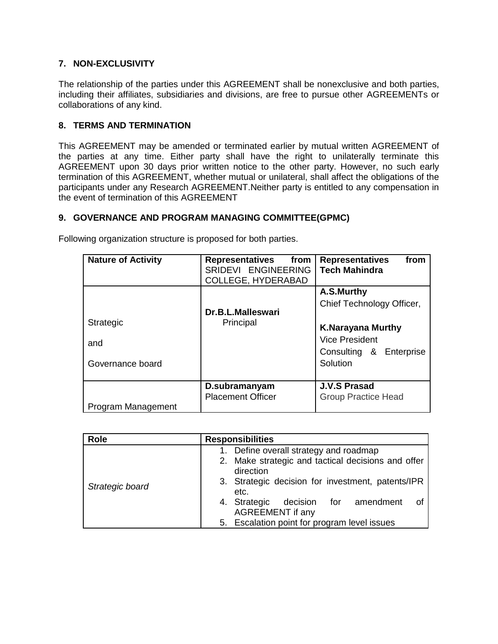# **7. NON-EXCLUSIVITY**

The relationship of the parties under this AGREEMENT shall be nonexclusive and both parties, including their affiliates, subsidiaries and divisions, are free to pursue other AGREEMENTs or collaborations of any kind.

## **8. TERMS AND TERMINATION**

This AGREEMENT may be amended or terminated earlier by mutual written AGREEMENT of the parties at any time. Either party shall have the right to unilaterally terminate this AGREEMENT upon 30 days prior written notice to the other party. However, no such early termination of this AGREEMENT, whether mutual or unilateral, shall affect the obligations of the participants under any Research AGREEMENT.Neither party is entitled to any compensation in the event of termination of this AGREEMENT

# **9. GOVERNANCE AND PROGRAM MANAGING COMMITTEE(GPMC)**

| <b>Nature of Activity</b>            | <b>Representatives</b><br>from<br>SRIDEVI ENGINEERING<br><b>COLLEGE, HYDERABAD</b> | from<br><b>Representatives</b><br><b>Tech Mahindra</b>                                                                              |
|--------------------------------------|------------------------------------------------------------------------------------|-------------------------------------------------------------------------------------------------------------------------------------|
| Strategic<br>and<br>Governance board | Dr.B.L.Malleswari<br>Principal                                                     | A.S.Murthy<br>Chief Technology Officer,<br><b>K.Narayana Murthy</b><br><b>Vice President</b><br>Consulting & Enterprise<br>Solution |
| Program Management                   | D.subramanyam<br><b>Placement Officer</b>                                          | <b>J.V.S Prasad</b><br><b>Group Practice Head</b>                                                                                   |

Following organization structure is proposed for both parties.

| <b>Role</b>     | <b>Responsibilities</b>                                                                                                                                                                                                                                                                           |
|-----------------|---------------------------------------------------------------------------------------------------------------------------------------------------------------------------------------------------------------------------------------------------------------------------------------------------|
| Strategic board | 1. Define overall strategy and roadmap<br>2. Make strategic and tactical decisions and offer<br>direction<br>3. Strategic decision for investment, patents/IPR<br>etc.<br>decision for amendment<br>4. Strategic<br>Οf<br><b>AGREEMENT if any</b><br>5. Escalation point for program level issues |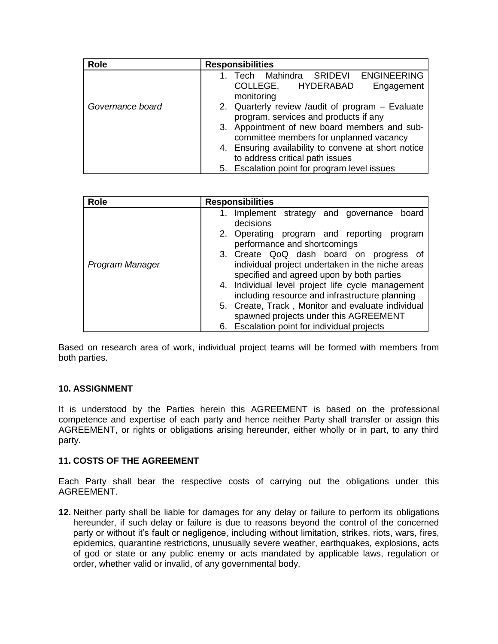| <b>Role</b>      | <b>Responsibilities</b>                             |  |  |
|------------------|-----------------------------------------------------|--|--|
|                  | <b>ENGINEERING</b><br>Tech Mahindra SRIDEVI         |  |  |
|                  | COLLEGE, HYDERABAD<br>Engagement                    |  |  |
|                  | monitoring                                          |  |  |
| Governance board | 2. Quarterly review /audit of program – Evaluate    |  |  |
|                  | program, services and products if any               |  |  |
|                  | 3. Appointment of new board members and sub-        |  |  |
|                  | committee members for unplanned vacancy             |  |  |
|                  | 4. Ensuring availability to convene at short notice |  |  |
|                  | to address critical path issues                     |  |  |
|                  | 5. Escalation point for program level issues        |  |  |

| <b>Role</b>     | <b>Responsibilities</b>                                                                                                                                                                                                                                                                                                                                                                         |  |
|-----------------|-------------------------------------------------------------------------------------------------------------------------------------------------------------------------------------------------------------------------------------------------------------------------------------------------------------------------------------------------------------------------------------------------|--|
|                 | Implement strategy and governance<br>1.<br>board<br>decisions                                                                                                                                                                                                                                                                                                                                   |  |
|                 | 2. Operating program and reporting<br>program<br>performance and shortcomings                                                                                                                                                                                                                                                                                                                   |  |
| Program Manager | 3. Create QoQ dash board on progress of<br>individual project undertaken in the niche areas<br>specified and agreed upon by both parties<br>4. Individual level project life cycle management<br>including resource and infrastructure planning<br>5. Create, Track, Monitor and evaluate individual<br>spawned projects under this AGREEMENT<br>Escalation point for individual projects<br>6. |  |

Based on research area of work, individual project teams will be formed with members from both parties.

# **10. ASSIGNMENT**

It is understood by the Parties herein this AGREEMENT is based on the professional competence and expertise of each party and hence neither Party shall transfer or assign this AGREEMENT, or rights or obligations arising hereunder, either wholly or in part, to any third party.

### **11. COSTS OF THE AGREEMENT**

Each Party shall bear the respective costs of carrying out the obligations under this AGREEMENT.

**12.** Neither party shall be liable for damages for any delay or failure to perform its obligations hereunder, if such delay or failure is due to reasons beyond the control of the concerned party or without it's fault or negligence, including without limitation, strikes, riots, wars, fires, epidemics, quarantine restrictions, unusually severe weather, earthquakes, explosions, acts of god or state or any public enemy or acts mandated by applicable laws, regulation or order, whether valid or invalid, of any governmental body.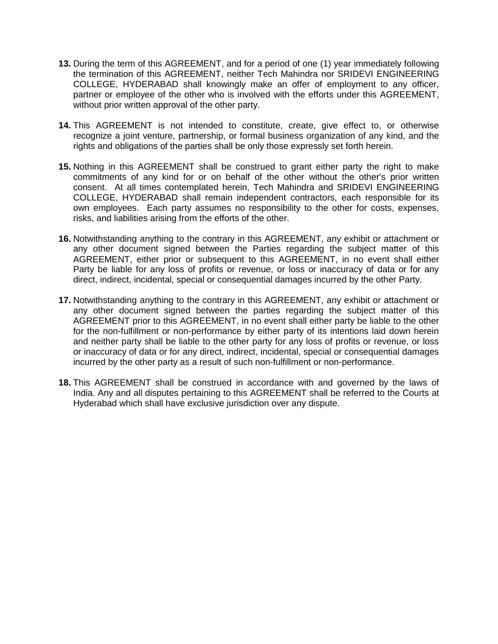- **13.** During the term of this AGREEMENT, and for a period of one (1) year immediately following the termination of this AGREEMENT, neither Tech Mahindra nor SRIDEVI ENGINEERING COLLEGE, HYDERABAD shall knowingly make an offer of employment to any officer, partner or employee of the other who is involved with the efforts under this AGREEMENT, without prior written approval of the other party.
- **14.** This AGREEMENT is not intended to constitute, create, give effect to, or otherwise recognize a joint venture, partnership, or formal business organization of any kind, and the rights and obligations of the parties shall be only those expressly set forth herein.
- **15.** Nothing in this AGREEMENT shall be construed to grant either party the right to make commitments of any kind for or on behalf of the other without the other's prior written consent. At all times contemplated herein, Tech Mahindra and SRIDEVI ENGINEERING COLLEGE, HYDERABAD shall remain independent contractors, each responsible for its own employees. Each party assumes no responsibility to the other for costs, expenses, risks, and liabilities arising from the efforts of the other.
- **16.** Notwithstanding anything to the contrary in this AGREEMENT, any exhibit or attachment or any other document signed between the Parties regarding the subject matter of this AGREEMENT, either prior or subsequent to this AGREEMENT, in no event shall either Party be liable for any loss of profits or revenue, or loss or inaccuracy of data or for any direct, indirect, incidental, special or consequential damages incurred by the other Party.
- **17.** Notwithstanding anything to the contrary in this AGREEMENT, any exhibit or attachment or any other document signed between the parties regarding the subject matter of this AGREEMENT prior to this AGREEMENT, in no event shall either party be liable to the other for the non-fulfillment or non-performance by either party of its intentions laid down herein and neither party shall be liable to the other party for any loss of profits or revenue, or loss or inaccuracy of data or for any direct, indirect, incidental, special or consequential damages incurred by the other party as a result of such non-fulfillment or non-performance.
- **18.** This AGREEMENT shall be construed in accordance with and governed by the laws of India. Any and all disputes pertaining to this AGREEMENT shall be referred to the Courts at Hyderabad which shall have exclusive jurisdiction over any dispute.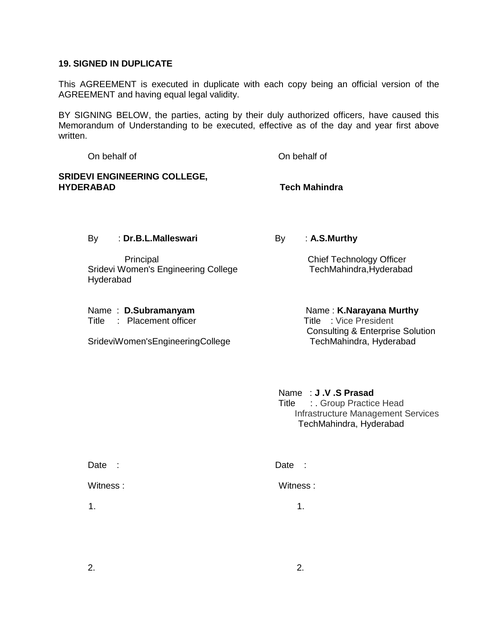### **19. SIGNED IN DUPLICATE**

This AGREEMENT is executed in duplicate with each copy being an official version of the AGREEMENT and having equal legal validity.

BY SIGNING BELOW, the parties, acting by their duly authorized officers, have caused this Memorandum of Understanding to be executed, effective as of the day and year first above written.

On behalf of On behalf of **SRIDEVI ENGINEERING COLLEGE, HYDERABAD Tech Mahindra**

 Principal Chief Technology Officer Sridevi Women's Engineering College TechMahindra, Hyderabad Hyderabad

- 
- Title : Placement officer Title : Vice President

SrideviWomen'sEngineeringCollege

# By : **Dr.B.L.Malleswari** By : **A.S.Murthy**

Name: **D.Subramanyam** Name: **K.Narayana Murthy** Consulting & Enterprise Solution<br>TechMahindra, Hyderabad

> Name : **J .V .S Prasad** Title : Group Practice Head Infrastructure Management Services TechMahindra, Hyderabad

| Date<br>- 11   | Date :   |
|----------------|----------|
| Witness:       | Witness: |
| $\mathbf{1}$ . | 1.       |

 $2.$